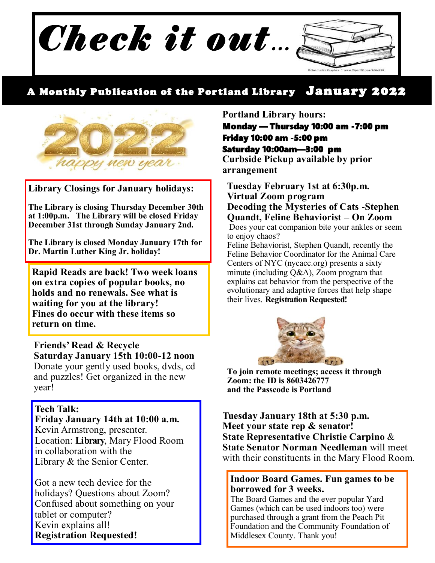

## A Monthly Publication of the Portland Library January 2022



**Library Closings for January holidays:**

**The Library is closing Thursday December 30th at 1:00p.m. The Library will be closed Friday December 31st through Sunday January 2nd.**

**The Library is closed Monday January 17th for Dr. Martin Luther King Jr. holiday!**

**Rapid Reads are back! Two week loans on extra copies of popular books, no holds and no renewals. See what is waiting for you at the library! Fines do occur with these items so return on time.**

**Friends' Read & Recycle Saturday January 15th 10:00-12 noon** Donate your gently used books, dvds, cd and puzzles! Get organized in the new year!

#### **Tech Talk:**

**Friday January 14th at 10:00 a.m.** Kevin Armstrong, presenter. Location: **Library**, Mary Flood Room in collaboration with the Library & the Senior Center.

Got a new tech device for the holidays? Questions about Zoom? Confused about something on your tablet or computer? Kevin explains all! **Registration Requested!**

#### **Portland Library hours:**

Monday — Thursday 10:00 am -7:00 pm Friday 10:00 am -5:00 pm Saturday 10:00am—3:00 pm

**Curbside Pickup available by prior arrangement**

**Tuesday February 1st at 6:30p.m. Virtual Zoom program Decoding the Mysteries of Cats -Stephen Quandt, Feline Behaviorist – On Zoom**

Does your cat companion bite your ankles or seem to enjoy chaos?

Feline Behaviorist, Stephen Quandt, recently the Feline Behavior Coordinator for the Animal Care Centers of NYC (nycacc.org) presents a sixty minute (including Q&A), Zoom program that explains cat behavior from the perspective of the evolutionary and adaptive forces that help shape their lives. **Registration Requested!** 



**To join remote meetings; access it through Zoom: the ID is 8603426777 and the Passcode is Portland**

**Tuesday January 18th at 5:30 p.m. Meet your state rep & senator! State Representative Christie Carpino** & **State Senator Norman Needleman** will meet with their constituents in the Mary Flood Room.

#### **Indoor Board Games. Fun games to be borrowed for 3 weeks.**

The Board Games and the ever popular Yard Games (which can be used indoors too) were purchased through a grant from the Peach Pit Foundation and the Community Foundation of Middlesex County. Thank you!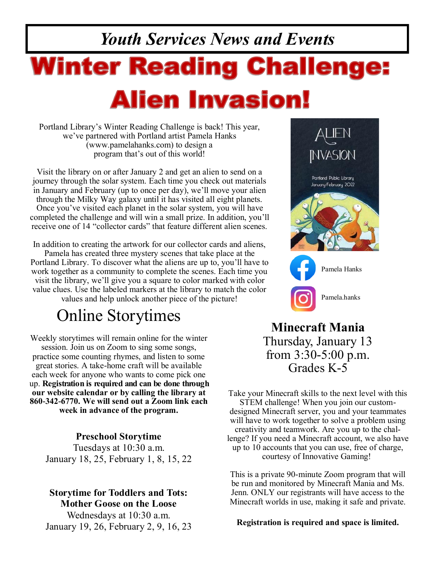# *Youth Services News and Events* **Winter Reading Challenge: Alien Invasion!**

Portland Library's Winter Reading Challenge is back! This year, we've partnered with Portland artist Pamela Hanks (www.pamelahanks.com) to design a program that's out of this world!

Visit the library on or after January 2 and get an alien to send on a journey through the solar system. Each time you check out materials in January and February (up to once per day), we'll move your alien through the Milky Way galaxy until it has visited all eight planets. Once you've visited each planet in the solar system, you will have completed the challenge and will win a small prize. In addition, you'll receive one of 14 "collector cards" that feature different alien scenes.

In addition to creating the artwork for our collector cards and aliens, Pamela has created three mystery scenes that take place at the Portland Library. To discover what the aliens are up to, you'll have to work together as a community to complete the scenes. Each time you visit the library, we'll give you a square to color marked with color value clues. Use the labeled markers at the library to match the color values and help unlock another piece of the picture!

## Online Storytimes

Weekly storytimes will remain online for the winter session. Join us on Zoom to sing some songs, practice some counting rhymes, and listen to some great stories. A take-home craft will be available each week for anyone who wants to come pick one up. **Registration is required and can be done through our website calendar or by calling the library at 860-342-6770. We will send out a Zoom link each week in advance of the program.** 

### **Preschool Storytime**

Tuesdays at 10:30 a.m. January 18, 25, February 1, 8, 15, 22

### **Storytime for Toddlers and Tots: Mother Goose on the Loose**

Wednesdays at 10:30 a.m. January 19, 26, February 2, 9, 16, 23



**Minecraft Mania** Thursday, January 13 from 3:30-5:00 p.m. Grades K-5

Take your Minecraft skills to the next level with this STEM challenge! When you join our customdesigned Minecraft server, you and your teammates will have to work together to solve a problem using creativity and teamwork. Are you up to the challenge? If you need a Minecraft account, we also have up to 10 accounts that you can use, free of charge, courtesy of Innovative Gaming!

This is a private 90-minute Zoom program that will be run and monitored by Minecraft Mania and Ms. Jenn. ONLY our registrants will have access to the Minecraft worlds in use, making it safe and private.

**Registration is required and space is limited.**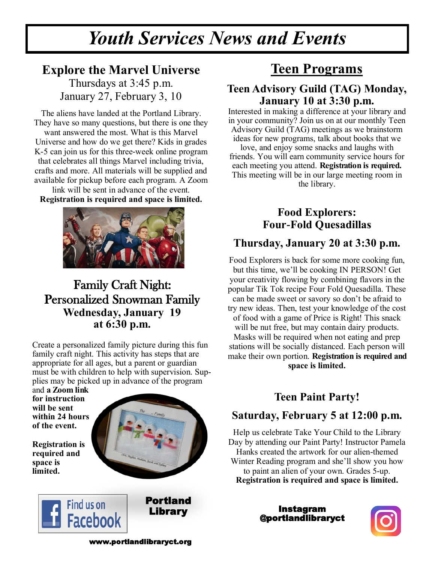## *Youth Services News and Events*

## **Explore the Marvel Universe**

Thursdays at 3:45 p.m. January 27, February 3, 10

The aliens have landed at the Portland Library. They have so many questions, but there is one they want answered the most. What is this Marvel Universe and how do we get there? Kids in grades K-5 can join us for this three-week online program that celebrates all things Marvel including trivia, crafts and more. All materials will be supplied and available for pickup before each program. A Zoom

link will be sent in advance of the event. **Registration is required and space is limited.** 



## Family Craft Night: Personalized Snowman Family **Wednesday, January 19 at 6:30 p.m.**

Create a personalized family picture during this fun family craft night. This activity has steps that are appropriate for all ages, but a parent or guardian must be with children to help with supervision. Supplies may be picked up in advance of the program

and **a Zoom link for instruction will be sent within 24 hours of the event.** 

**Registration is required and space is limited.** 



Portland Library

## Find us on **Facebook**

## **Teen Programs**

## **Teen Advisory Guild (TAG) Monday, January 10 at 3:30 p.m.**

Interested in making a difference at your library and in your community? Join us on at our monthly Teen Advisory Guild (TAG) meetings as we brainstorm ideas for new programs, talk about books that we love, and enjoy some snacks and laughs with friends. You will earn community service hours for each meeting you attend. **Registration is required.**  This meeting will be in our large meeting room in the library.

## **Food Explorers: Four-Fold Quesadillas**

## **Thursday, January 20 at 3:30 p.m.**

Food Explorers is back for some more cooking fun, but this time, we'll be cooking IN PERSON! Get your creativity flowing by combining flavors in the popular Tik Tok recipe Four Fold Quesadilla. These can be made sweet or savory so don't be afraid to try new ideas. Then, test your knowledge of the cost of food with a game of Price is Right! This snack will be nut free, but may contain dairy products. Masks will be required when not eating and prep stations will be socially distanced. Each person will make their own portion. **Registration is required and space is limited.**

## **Teen Paint Party!**

## **Saturday, February 5 at 12:00 p.m.**

Help us celebrate Take Your Child to the Library Day by attending our Paint Party! Instructor Pamela Hanks created the artwork for our alien-themed Winter Reading program and she'll show you how to paint an alien of your own. Grades 5-up. **Registration is required and space is limited.** 

> Instagram @portlandlibraryct



www.portlandlibraryct.org